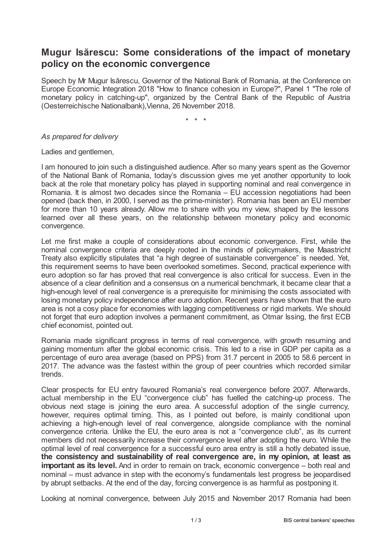## **Mugur Isărescu: Some considerations of the impact of monetary policy on the economic convergence**

Speech by Mr Mugur Isărescu, Governor of the National Bank of Romania, at the Conference on Europe Economic Integration 2018 "How to finance cohesion in Europe?", Panel 1 "The role of monetary policy in catching-up", organized by the Central Bank of the Republic of Austria (Oesterreichische Nationalbank),Vienna, 26 November 2018.

\* \* \*

*As prepared for delivery*

Ladies and gentlemen,

I am honoured to join such a distinguished audience. After so many years spent as the Governor of the National Bank of Romania, today's discussion gives me yet another opportunity to look back at the role that monetary policy has played in supporting nominal and real convergence in Romania. It is almost two decades since the Romania – EU accession negotiations had been opened (back then, in 2000, I served as the prime-minister). Romania has been an EU member for more than 10 years already. Allow me to share with you my view, shaped by the lessons learned over all these years, on the relationship between monetary policy and economic convergence.

Let me first make a couple of considerations about economic convergence. First, while the nominal convergence criteria are deeply rooted in the minds of policymakers, the Maastricht Treaty also explicitly stipulates that "a high degree of sustainable convergence" is needed. Yet, this requirement seems to have been overlooked sometimes. Second, practical experience with euro adoption so far has proved that real convergence is also critical for success. Even in the absence of a clear definition and a consensus on a numerical benchmark, it became clear that a high-enough level of real convergence is a prerequisite for minimising the costs associated with losing monetary policy independence after euro adoption. Recent years have shown that the euro area is not a cosy place for economies with lagging competitiveness or rigid markets. We should not forget that euro adoption involves a permanent commitment, as Otmar Issing, the first ECB chief economist, pointed out.

Romania made significant progress in terms of real convergence, with growth resuming and gaining momentum after the global economic crisis. This led to a rise in GDP per capita as a percentage of euro area average (based on PPS) from 31.7 percent in 2005 to 58.6 percent in 2017. The advance was the fastest within the group of peer countries which recorded similar trends.

Clear prospects for EU entry favoured Romania's real convergence before 2007. Afterwards, actual membership in the EU "convergence club" has fuelled the catching-up process. The obvious next stage is joining the euro area. A successful adoption of the single currency, however, requires optimal timing. This, as I pointed out before, is mainly conditional upon achieving a high-enough level of real convergence, alongside compliance with the nominal convergence criteria. Unlike the EU, the euro area is not a "convergence club", as its current members did not necessarily increase their convergence level after adopting the euro. While the optimal level of real convergence for a successful euro area entry is still a hotly debated issue, **the consistency and sustainability of real convergence are, in my opinion, at least as important as its level.** And in order to remain on track, economic convergence – both real and nominal – must advance in step with the economy's fundamentals lest progress be jeopardised by abrupt setbacks. At the end of the day, forcing convergence is as harmful as postponing it.

Looking at nominal convergence, between July 2015 and November 2017 Romania had been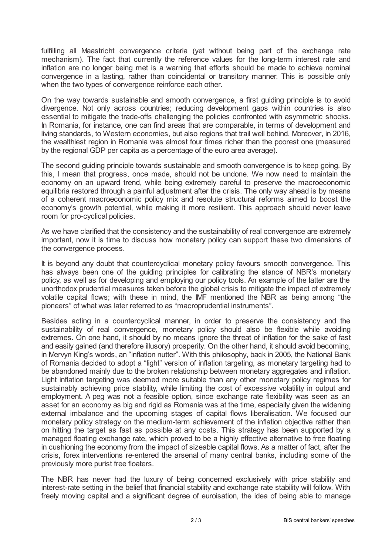fulfilling all Maastricht convergence criteria (yet without being part of the exchange rate mechanism). The fact that currently the reference values for the long-term interest rate and inflation are no longer being met is a warning that efforts should be made to achieve nominal convergence in a lasting, rather than coincidental or transitory manner. This is possible only when the two types of convergence reinforce each other.

On the way towards sustainable and smooth convergence, a first guiding principle is to avoid divergence. Not only across countries; reducing development gaps within countries is also essential to mitigate the trade-offs challenging the policies confronted with asymmetric shocks. In Romania, for instance, one can find areas that are comparable, in terms of development and living standards, to Western economies, but also regions that trail well behind. Moreover, in 2016, the wealthiest region in Romania was almost four times richer than the poorest one (measured by the regional GDP per capita as a percentage of the euro area average).

The second guiding principle towards sustainable and smooth convergence is to keep going. By this, I mean that progress, once made, should not be undone. We now need to maintain the economy on an upward trend, while being extremely careful to preserve the macroeconomic equilibria restored through a painful adjustment after the crisis. The only way ahead is by means of a coherent macroeconomic policy mix and resolute structural reforms aimed to boost the economy's growth potential, while making it more resilient. This approach should never leave room for pro-cyclical policies.

As we have clarified that the consistency and the sustainability of real convergence are extremely important, now it is time to discuss how monetary policy can support these two dimensions of the convergence process.

It is beyond any doubt that countercyclical monetary policy favours smooth convergence. This has always been one of the guiding principles for calibrating the stance of NBR's monetary policy, as well as for developing and employing our policy tools. An example of the latter are the unorthodox prudential measures taken before the global crisis to mitigate the impact of extremely volatile capital flows; with these in mind, the IMF mentioned the NBR as being among "the pioneers" of what was later referred to as "macroprudential instruments".

Besides acting in a countercyclical manner, in order to preserve the consistency and the sustainability of real convergence, monetary policy should also be flexible while avoiding extremes. On one hand, it should by no means ignore the threat of inflation for the sake of fast and easily gained (and therefore illusory) prosperity. On the other hand, it should avoid becoming, in Mervyn King's words, an "inflation nutter". With this philosophy, back in 2005, the National Bank of Romania decided to adopt a "light" version of inflation targeting, as monetary targeting had to be abandoned mainly due to the broken relationship between monetary aggregates and inflation. Light inflation targeting was deemed more suitable than any other monetary policy regimes for sustainably achieving price stability, while limiting the cost of excessive volatility in output and employment. A peg was not a feasible option, since exchange rate flexibility was seen as an asset for an economy as big and rigid as Romania was at the time, especially given the widening external imbalance and the upcoming stages of capital flows liberalisation. We focused our monetary policy strategy on the medium-term achievement of the inflation objective rather than on hitting the target as fast as possible at any costs. This strategy has been supported by a managed floating exchange rate, which proved to be a highly effective alternative to free floating in cushioning the economy from the impact of sizeable capital flows. As a matter of fact, after the crisis, forex interventions re-entered the arsenal of many central banks, including some of the previously more purist free floaters.

The NBR has never had the luxury of being concerned exclusively with price stability and interest-rate setting in the belief that financial stability and exchange rate stability will follow. With freely moving capital and a significant degree of euroisation, the idea of being able to manage